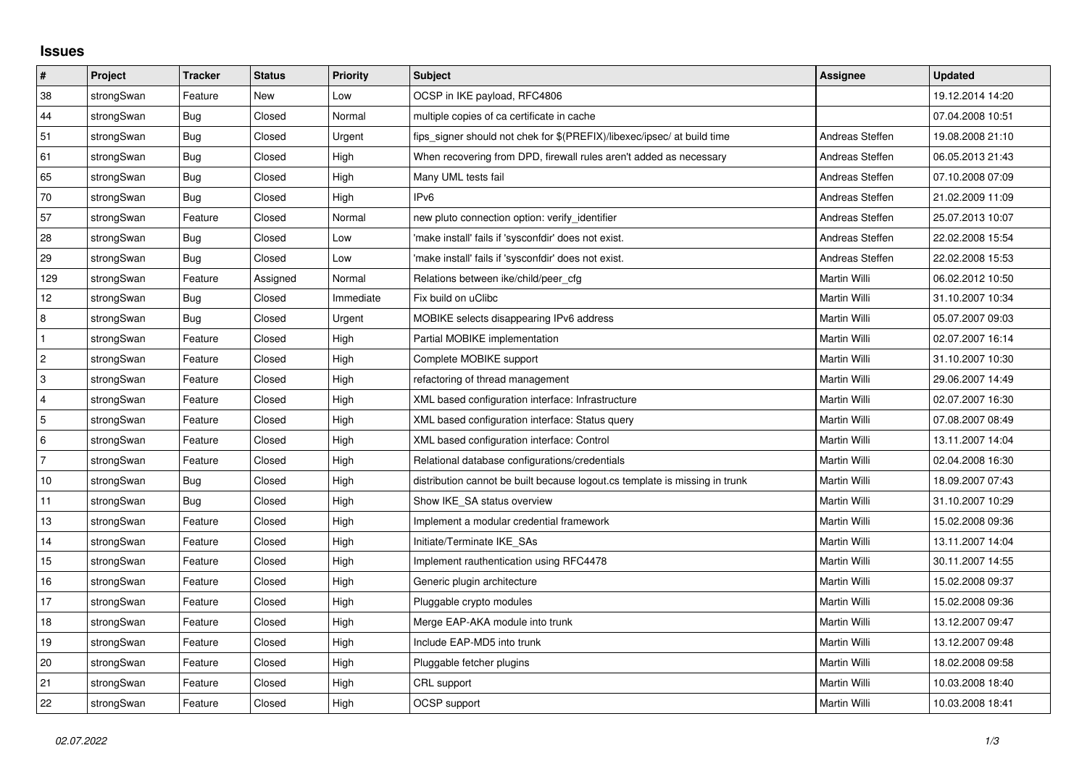## **Issues**

| $\vert$ #      | Project    | <b>Tracker</b> | <b>Status</b> | <b>Priority</b> | <b>Subject</b>                                                              | <b>Assignee</b> | <b>Updated</b>   |
|----------------|------------|----------------|---------------|-----------------|-----------------------------------------------------------------------------|-----------------|------------------|
| 38             | strongSwan | Feature        | <b>New</b>    | Low             | OCSP in IKE payload, RFC4806                                                |                 | 19.12.2014 14:20 |
| 44             | strongSwan | Bug            | Closed        | Normal          | multiple copies of ca certificate in cache                                  |                 | 07.04.2008 10:51 |
| 51             | strongSwan | Bug            | Closed        | Urgent          | fips signer should not chek for \$(PREFIX)/libexec/ipsec/ at build time     | Andreas Steffen | 19.08.2008 21:10 |
| 61             | strongSwan | Bug            | Closed        | High            | When recovering from DPD, firewall rules aren't added as necessary          | Andreas Steffen | 06.05.2013 21:43 |
| 65             | strongSwan | Bug            | Closed        | High            | Many UML tests fail                                                         | Andreas Steffen | 07.10.2008 07:09 |
| 70             | strongSwan | Bug            | Closed        | High            | IP <sub>v6</sub>                                                            | Andreas Steffen | 21.02.2009 11:09 |
| 57             | strongSwan | Feature        | Closed        | Normal          | new pluto connection option: verify identifier                              | Andreas Steffen | 25.07.2013 10:07 |
| 28             | strongSwan | Bug            | Closed        | Low             | 'make install' fails if 'sysconfdir' does not exist.                        | Andreas Steffen | 22.02.2008 15:54 |
| 29             | strongSwan | Bug            | Closed        | Low             | 'make install' fails if 'sysconfdir' does not exist.                        | Andreas Steffen | 22.02.2008 15:53 |
| 129            | strongSwan | Feature        | Assigned      | Normal          | Relations between ike/child/peer_cfg                                        | Martin Willi    | 06.02.2012 10:50 |
| 12             | strongSwan | Bug            | Closed        | Immediate       | Fix build on uClibc                                                         | Martin Willi    | 31.10.2007 10:34 |
| 8              | strongSwan | Bug            | Closed        | Urgent          | MOBIKE selects disappearing IPv6 address                                    | Martin Willi    | 05.07.2007 09:03 |
| $\mathbf{1}$   | strongSwan | Feature        | Closed        | High            | Partial MOBIKE implementation                                               | Martin Willi    | 02.07.2007 16:14 |
| $\overline{c}$ | strongSwan | Feature        | Closed        | High            | Complete MOBIKE support                                                     | Martin Willi    | 31.10.2007 10:30 |
| 3              | strongSwan | Feature        | Closed        | High            | refactoring of thread management                                            | Martin Willi    | 29.06.2007 14:49 |
| $\overline{4}$ | strongSwan | Feature        | Closed        | High            | XML based configuration interface: Infrastructure                           | Martin Willi    | 02.07.2007 16:30 |
| 5              | strongSwan | Feature        | Closed        | High            | XML based configuration interface: Status query                             | Martin Willi    | 07.08.2007 08:49 |
| 6              | strongSwan | Feature        | Closed        | High            | XML based configuration interface: Control                                  | Martin Willi    | 13.11.2007 14:04 |
| $\overline{7}$ | strongSwan | Feature        | Closed        | High            | Relational database configurations/credentials                              | Martin Willi    | 02.04.2008 16:30 |
| 10             | strongSwan | <b>Bug</b>     | Closed        | High            | distribution cannot be built because logout.cs template is missing in trunk | Martin Willi    | 18.09.2007 07:43 |
| 11             | strongSwan | Bug            | Closed        | High            | Show IKE SA status overview                                                 | Martin Willi    | 31.10.2007 10:29 |
| 13             | strongSwan | Feature        | Closed        | High            | Implement a modular credential framework                                    | Martin Willi    | 15.02.2008 09:36 |
| 14             | strongSwan | Feature        | Closed        | High            | Initiate/Terminate IKE SAs                                                  | Martin Willi    | 13.11.2007 14:04 |
| 15             | strongSwan | Feature        | Closed        | High            | Implement rauthentication using RFC4478                                     | Martin Willi    | 30.11.2007 14:55 |
| 16             | strongSwan | Feature        | Closed        | High            | Generic plugin architecture                                                 | Martin Willi    | 15.02.2008 09:37 |
| 17             | strongSwan | Feature        | Closed        | High            | Pluggable crypto modules                                                    | Martin Willi    | 15.02.2008 09:36 |
| 18             | strongSwan | Feature        | Closed        | High            | Merge EAP-AKA module into trunk                                             | Martin Willi    | 13.12.2007 09:47 |
| 19             | strongSwan | Feature        | Closed        | High            | Include EAP-MD5 into trunk                                                  | Martin Willi    | 13.12.2007 09:48 |
| 20             | strongSwan | Feature        | Closed        | High            | Pluggable fetcher plugins                                                   | Martin Willi    | 18.02.2008 09:58 |
| 21             | strongSwan | Feature        | Closed        | High            | CRL support                                                                 | Martin Willi    | 10.03.2008 18:40 |
| 22             | strongSwan | Feature        | Closed        | High            | OCSP support                                                                | Martin Willi    | 10.03.2008 18:41 |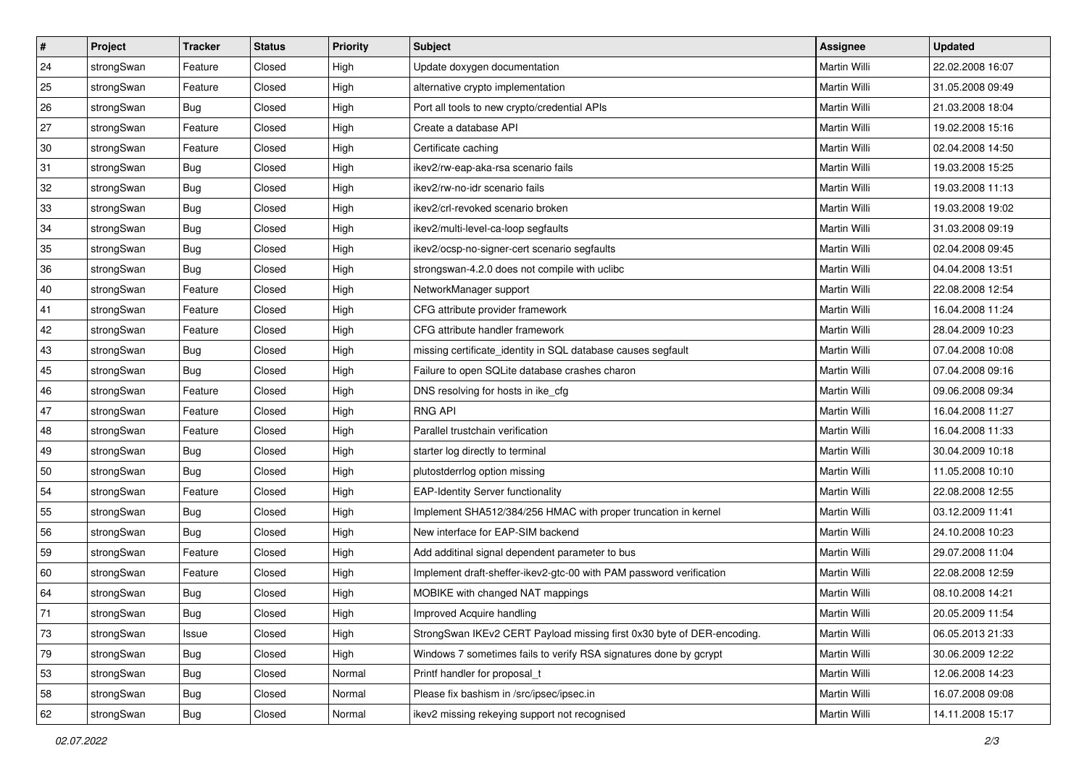| $\sharp$ | Project    | <b>Tracker</b> | <b>Status</b> | Priority | <b>Subject</b>                                                         | <b>Assignee</b>     | <b>Updated</b>   |
|----------|------------|----------------|---------------|----------|------------------------------------------------------------------------|---------------------|------------------|
| 24       | strongSwan | Feature        | Closed        | High     | Update doxygen documentation                                           | Martin Willi        | 22.02.2008 16:07 |
| 25       | strongSwan | Feature        | Closed        | High     | alternative crypto implementation                                      | Martin Willi        | 31.05.2008 09:49 |
| 26       | strongSwan | <b>Bug</b>     | Closed        | High     | Port all tools to new crypto/credential APIs                           | Martin Willi        | 21.03.2008 18:04 |
| 27       | strongSwan | Feature        | Closed        | High     | Create a database API                                                  | Martin Willi        | 19.02.2008 15:16 |
| 30       | strongSwan | Feature        | Closed        | High     | Certificate caching                                                    | Martin Willi        | 02.04.2008 14:50 |
| 31       | strongSwan | <b>Bug</b>     | Closed        | High     | ikev2/rw-eap-aka-rsa scenario fails                                    | Martin Willi        | 19.03.2008 15:25 |
| 32       | strongSwan | Bug            | Closed        | High     | ikev2/rw-no-idr scenario fails                                         | Martin Willi        | 19.03.2008 11:13 |
| 33       | strongSwan | Bug            | Closed        | High     | ikev2/crl-revoked scenario broken                                      | <b>Martin Willi</b> | 19.03.2008 19:02 |
| 34       | strongSwan | <b>Bug</b>     | Closed        | High     | ikev2/multi-level-ca-loop segfaults                                    | Martin Willi        | 31.03.2008 09:19 |
| 35       | strongSwan | <b>Bug</b>     | Closed        | High     | ikev2/ocsp-no-signer-cert scenario segfaults                           | Martin Willi        | 02.04.2008 09:45 |
| 36       | strongSwan | Bug            | Closed        | High     | strongswan-4.2.0 does not compile with uclibe                          | Martin Willi        | 04.04.2008 13:51 |
| 40       | strongSwan | Feature        | Closed        | High     | NetworkManager support                                                 | Martin Willi        | 22.08.2008 12:54 |
| 41       | strongSwan | Feature        | Closed        | High     | CFG attribute provider framework                                       | Martin Willi        | 16.04.2008 11:24 |
| 42       | strongSwan | Feature        | Closed        | High     | CFG attribute handler framework                                        | Martin Willi        | 28.04.2009 10:23 |
| 43       | strongSwan | Bug            | Closed        | High     | missing certificate_identity in SQL database causes segfault           | Martin Willi        | 07.04.2008 10:08 |
| 45       | strongSwan | Bug            | Closed        | High     | Failure to open SQLite database crashes charon                         | <b>Martin Willi</b> | 07.04.2008 09:16 |
| 46       | strongSwan | Feature        | Closed        | High     | DNS resolving for hosts in ike_cfg                                     | Martin Willi        | 09.06.2008 09:34 |
| 47       | strongSwan | Feature        | Closed        | High     | <b>RNG API</b>                                                         | Martin Willi        | 16.04.2008 11:27 |
| 48       | strongSwan | Feature        | Closed        | High     | Parallel trustchain verification                                       | Martin Willi        | 16.04.2008 11:33 |
| 49       | strongSwan | <b>Bug</b>     | Closed        | High     | starter log directly to terminal                                       | Martin Willi        | 30.04.2009 10:18 |
| 50       | strongSwan | <b>Bug</b>     | Closed        | High     | plutostderrlog option missing                                          | Martin Willi        | 11.05.2008 10:10 |
| 54       | strongSwan | Feature        | Closed        | High     | <b>EAP-Identity Server functionality</b>                               | Martin Willi        | 22.08.2008 12:55 |
| 55       | strongSwan | Bug            | Closed        | High     | Implement SHA512/384/256 HMAC with proper truncation in kernel         | Martin Willi        | 03.12.2009 11:41 |
| 56       | strongSwan | <b>Bug</b>     | Closed        | High     | New interface for EAP-SIM backend                                      | Martin Willi        | 24.10.2008 10:23 |
| 59       | strongSwan | Feature        | Closed        | High     | Add additinal signal dependent parameter to bus                        | Martin Willi        | 29.07.2008 11:04 |
| 60       | strongSwan | Feature        | Closed        | High     | Implement draft-sheffer-ikev2-gtc-00 with PAM password verification    | Martin Willi        | 22.08.2008 12:59 |
| 64       | strongSwan | <b>Bug</b>     | Closed        | High     | MOBIKE with changed NAT mappings                                       | Martin Willi        | 08.10.2008 14:21 |
| $71\,$   | strongSwan | <b>Bug</b>     | Closed        | High     | Improved Acquire handling                                              | Martin Willi        | 20.05.2009 11:54 |
| 73       | strongSwan | Issue          | Closed        | High     | StrongSwan IKEv2 CERT Payload missing first 0x30 byte of DER-encoding. | Martin Willi        | 06.05.2013 21:33 |
| 79       | strongSwan | Bug            | Closed        | High     | Windows 7 sometimes fails to verify RSA signatures done by gcrypt      | Martin Willi        | 30.06.2009 12:22 |
| 53       | strongSwan | Bug            | Closed        | Normal   | Printf handler for proposal_t                                          | Martin Willi        | 12.06.2008 14:23 |
| 58       | strongSwan | Bug            | Closed        | Normal   | Please fix bashism in /src/ipsec/ipsec.in                              | Martin Willi        | 16.07.2008 09:08 |
| 62       | strongSwan | Bug            | Closed        | Normal   | ikev2 missing rekeying support not recognised                          | Martin Willi        | 14.11.2008 15:17 |